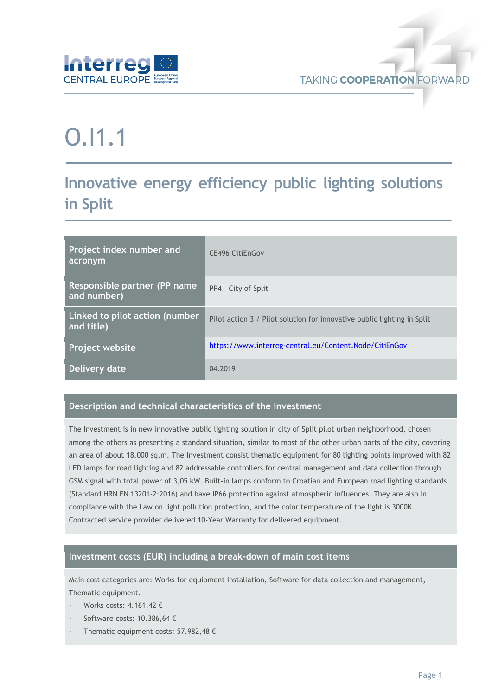

# O.I1.1

## **Innovative energy efficiency public lighting solutions in Split**

| Project index number and<br>acronym          | <b>CE496 CitiEnGov</b>                                                  |
|----------------------------------------------|-------------------------------------------------------------------------|
| Responsible partner (PP name)<br>and number) | PP4 - City of Split                                                     |
| Linked to pilot action (number<br>and title) | Pilot action 3 / Pilot solution for innovative public lighting in Split |
| Project website                              | https://www.interreg-central.eu/Content.Node/CitiEnGov                  |
| Delivery date                                | 04.2019                                                                 |

#### **Description and technical characteristics of the investment**

The Investment is in new innovative public lighting solution in city of Split pilot urban neighborhood, chosen among the others as presenting a standard situation, similar to most of the other urban parts of the city, covering an area of about 18.000 sq.m. The Investment consist thematic equipment for 80 lighting points improved with 82 LED lamps for road lighting and 82 addressable controllers for central management and data collection through GSM signal with total power of 3,05 kW. Built-in lamps conform to Croatian and European road lighting standards (Standard HRN EN 13201-2:2016) and have IP66 protection against atmospheric influences. They are also in compliance with the Law on light pollution protection, and the color temperature of the light is 3000K. Contracted service provider delivered 10-Year Warranty for delivered equipment.

#### **Investment costs (EUR) including a break-down of main cost items**

Main cost categories are: Works for equipment installation, Software for data collection and management, Thematic equipment.

- Works costs: 4.161.42 €
- Software costs: 10.386,64 €
- Thematic equipment costs: 57.982,48  $\epsilon$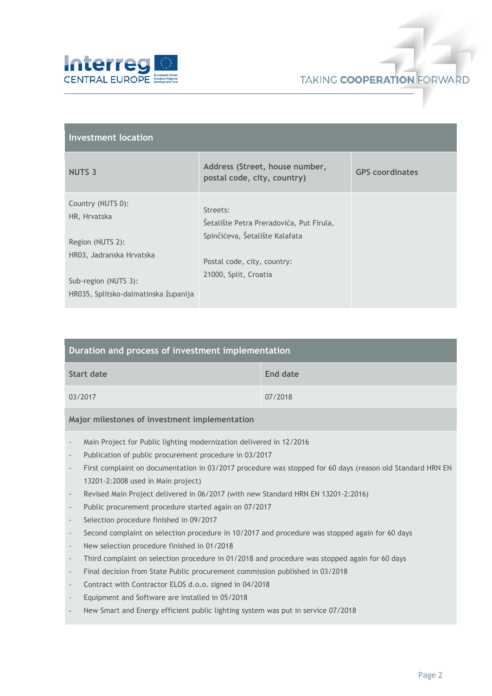



| <b>Investment location</b>                                   |                                                               |                        |  |  |  |
|--------------------------------------------------------------|---------------------------------------------------------------|------------------------|--|--|--|
| <b>NUTS 3</b>                                                | Address (Street, house number,<br>postal code, city, country) | <b>GPS</b> coordinates |  |  |  |
| Country (NUTS 0):<br>HR, Hrvatska                            | Streets:<br>Šetalište Petra Preradovića, Put Firula,          |                        |  |  |  |
| Region (NUTS 2):<br>HR03, Jadranska Hrvatska                 | Spinčićeva, Šetalište Kalafata<br>Postal code, city, country: |                        |  |  |  |
| Sub-region (NUTS 3):<br>HR035, Splitsko-dalmatinska županija | 21000, Split, Croatia                                         |                        |  |  |  |

| Duration and process of investment implementation |          |  |  |  |
|---------------------------------------------------|----------|--|--|--|
| Start date                                        | End date |  |  |  |
| 03/2017                                           | 07/2018  |  |  |  |

#### **Major milestones of investment implementation**

- Main Project for Public lighting modernization delivered in 12/2016
- Publication of public procurement procedure in 03/2017
- First complaint on documentation in 03/2017 procedure was stopped for 60 days (reason old Standard HRN EN 13201-2:2008 used in Main project)
- Revised Main Project delivered in 06/2017 (with new Standard HRN EN 13201-2:2016)
- Public procurement procedure started again on 07/2017
- Selection procedure finished in 09/2017
- Second complaint on selection procedure in 10/2017 and procedure was stopped again for 60 days
- New selection procedure finished in 01/2018
- Third complaint on selection procedure in 01/2018 and procedure was stopped again for 60 days
- Final decision from State Public procurement commission published in 03/2018
- Contract with Contractor ELOS d.o.o. signed in 04/2018
- Equipment and Software are installed in 05/2018
- New Smart and Energy efficient public lighting system was put in service 07/2018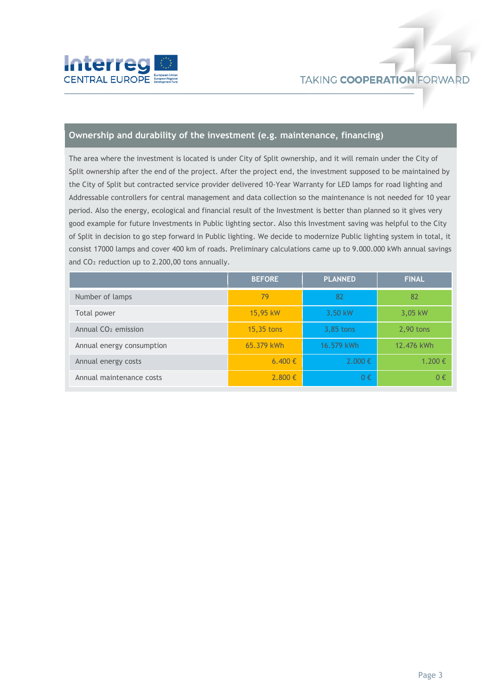

#### **Ownership and durability of the investment (e.g. maintenance, financing)**

The area where the investment is located is under City of Split ownership, and it will remain under the City of Split ownership after the end of the project. After the project end, the investment supposed to be maintained by the City of Split but contracted service provider delivered 10-Year Warranty for LED lamps for road lighting and Addressable controllers for central management and data collection so the maintenance is not needed for 10 year period. Also the energy, ecological and financial result of the Investment is better than planned so it gives very good example for future Investments in Public lighting sector. Also this Investment saving was helpful to the City of Split in decision to go step forward in Public lighting. We decide to modernize Public lighting system in total, it consist 17000 lamps and cover 400 km of roads. Preliminary calculations came up to 9.000.000 kWh annual savings and CO<sub>2</sub> reduction up to 2.200,00 tons annually.

|                                 | <b>BEFORE</b> | <b>PLANNED</b> | <b>FINAL</b> |
|---------------------------------|---------------|----------------|--------------|
| Number of lamps                 | 79            | 82             | 82           |
| Total power                     | 15,95 kW      | 3,50 kW        | 3,05 kW      |
| Annual CO <sub>2</sub> emission | 15,35 tons    | 3,85 tons      | $2,90$ tons  |
| Annual energy consumption       | 65.379 kWh    | 16.579 kWh     | 12.476 kWh   |
| Annual energy costs             | 6.400 €       | $2.000 \in$    | 1.200€       |
| Annual maintenance costs        | $2.800 \in$   | 0€             | 0€           |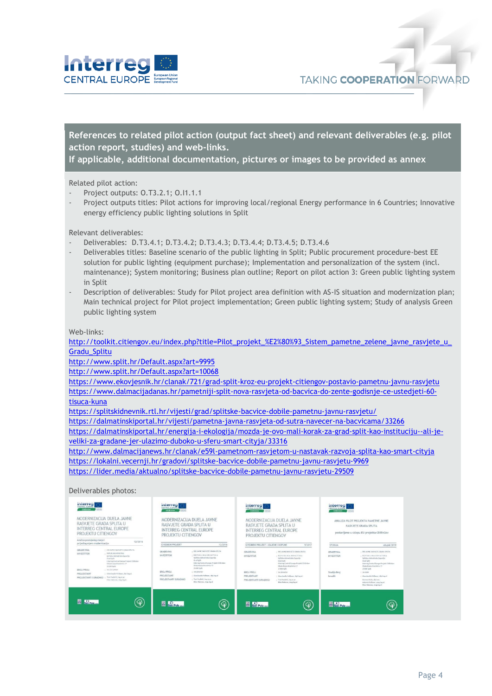

#### **References to related pilot action (output fact sheet) and relevant deliverables (e.g. pilot action report, studies) and web-links.**

**If applicable, additional documentation, pictures or images to be provided as annex**

Related pilot action:

- Project outputs: 0.T3.2.1; 0.I1.1.1
- Project outputs titles: Pilot actions for improving local/regional Energy performance in 6 Countries; Innovative energy efficiency public lighting solutions in Split

Relevant deliverables:

- Deliverables: D.T3.4.1; D.T3.4.2; D.T3.4.3; D.T3.4.4; D.T3.4.5; D.T3.4.6
- Deliverables titles: Baseline scenario of the public lighting in Split; Public procurement procedure-best EE solution for public lighting (equipment purchase); Implementation and personalization of the system (incl. maintenance); System monitoring; Business plan outline; Report on pilot action 3: Green public lighting system in Split
- Description of deliverables: Study for Pilot project area definition with AS-IS situation and modernization plan; Main technical project for Pilot project implementation; Green public lighting system; Study of analysis Green public lighting system

Web-links:

[http://toolkit.citiengov.eu/index.php?title=Pilot\\_projekt\\_%E2%80%93\\_Sistem\\_pametne\\_zelene\\_javne\\_rasvjete\\_u\\_](http://toolkit.citiengov.eu/index.php?title=Pilot_projekt_%E2%80%93_Sistem_pametne_zelene_javne_rasvjete_u_Gradu_Splitu) [Gradu\\_Splitu](http://toolkit.citiengov.eu/index.php?title=Pilot_projekt_%E2%80%93_Sistem_pametne_zelene_javne_rasvjete_u_Gradu_Splitu)

<http://www.split.hr/Default.aspx?art=9995>

<http://www.split.hr/Default.aspx?art=10068>

<https://www.ekovjesnik.hr/clanak/721/grad-split-kroz-eu-projekt-citiengov-postavio-pametnu-javnu-rasvjetu> [https://www.dalmacijadanas.hr/pametniji-split-nova-rasvjeta-od-bacvica-do-zente-godisnje-ce-ustedjeti-60-](https://www.dalmacijadanas.hr/pametniji-split-nova-rasvjeta-od-bacvica-do-zente-godisnje-ce-ustedjeti-60-tisuca-kuna)

[tisuca-kuna](https://www.dalmacijadanas.hr/pametniji-split-nova-rasvjeta-od-bacvica-do-zente-godisnje-ce-ustedjeti-60-tisuca-kuna)

<https://splitskidnevnik.rtl.hr/vijesti/grad/splitske-bacvice-dobile-pametnu-javnu-rasvjetu/>

<https://dalmatinskiportal.hr/vijesti/pametna-javna-rasvjeta-od-sutra-navecer-na-bacvicama/33266>

[https://dalmatinskiportal.hr/energija-i-ekologija/mozda-je-ovo-mali-korak-za-grad-split-kao-instituciju--ali-je](https://dalmatinskiportal.hr/energija-i-ekologija/mozda-je-ovo-mali-korak-za-grad-split-kao-instituciju--ali-je-veliki-za-gradane-jer-ulazimo-duboko-u-sferu-smart-cityja/33316)[veliki-za-gradane-jer-ulazimo-duboko-u-sferu-smart-cityja/33316](https://dalmatinskiportal.hr/energija-i-ekologija/mozda-je-ovo-mali-korak-za-grad-split-kao-instituciju--ali-je-veliki-za-gradane-jer-ulazimo-duboko-u-sferu-smart-cityja/33316)

<http://www.dalmacijanews.hr/clanak/e59l-pametnom-rasvjetom-u-nastavak-razvoja-splita-kao-smart-cityja> <https://lokalni.vecernji.hr/gradovi/splitske-bacvice-dobile-pametnu-javnu-rasvjetu-9969>

<https://lider.media/aktualno/splitske-bacvice-dobile-pametnu-javnu-rasvjetu-29509>

#### Deliverables photos:

| mterreg<br><b>CENTRAL EUROS</b><br>CitifieCov<br>MODERNIZACIJA DIJELA JAVNE<br>RASVJETE GRADA SPLITA U<br><b>INTERREG CENTRAL EUROPE</b><br>PROJEKTU CITIENGOV<br>Analiza postojećeg stavja i<br>12/2016 | interreg <sub>s</sub><br>CENTRAL FURDS<br><b>URSER</b><br><b>CIERNOW</b><br>MODERNIZACIJA DIJELA JAVNE<br>RASVJETE GRADA SPLITA U<br><b>INTERREG CENTRAL EUROPE</b><br>PROJEKTU CITIENGOV | interreg<br>CENTRAL ELIBOR<br><b>CRIENCINE</b><br>MODERNIZACIJA DIJELA JAVNE<br>RASVJETE GRADA SPLITA U<br>INTERREG CENTRAL EUROPE<br>PROJEKTU CITIENGOV | Interreg<br>CENTRAL FUROS<br>宗宗<br>CitilinCov<br>ANALIZA PILOT PROJEKTA PAMETNE JAVNE<br>RASVJETE GRADA SPLITA<br>postavljene u sklopu EU projekta CitiEnGov |  |
|----------------------------------------------------------------------------------------------------------------------------------------------------------------------------------------------------------|-------------------------------------------------------------------------------------------------------------------------------------------------------------------------------------------|----------------------------------------------------------------------------------------------------------------------------------------------------------|--------------------------------------------------------------------------------------------------------------------------------------------------------------|--|
| prijedlog mjera modernizacije                                                                                                                                                                            | <b>IZVEDRENI PROJEKT</b>                                                                                                                                                                  | IZVEDBENI PROJEKT - IZMJENE I DOPUNE                                                                                                                     | <b>STUDIJA</b>                                                                                                                                               |  |
|                                                                                                                                                                                                          | 12/2016                                                                                                                                                                                   | 5/2017                                                                                                                                                   | ožujnk/2019                                                                                                                                                  |  |
| <b>GRADEVINA</b>                                                                                                                                                                                         | DID JAVNE RASVJETE GRADA SPUTA                                                                                                                                                            | - DIO JAVNE RASV KTE GRADA SPLITA                                                                                                                        | DIO JAVNE RASVJETE GRADA SPLITA                                                                                                                              |  |
| 1 DID JAVIEE KASVJETE GRADA SPLITA                                                                                                                                                                       | <b>GRADEVINA</b>                                                                                                                                                                          | <b>GRADEVINA</b>                                                                                                                                         | <b>GRADEVINA</b>                                                                                                                                             |  |
| REPUBLIKA HRVATSKA                                                                                                                                                                                       | REPUBLIKA HRVATSKA                                                                                                                                                                        | - REPUBLIKA HRVATSKA                                                                                                                                     | - REPUBLIKA HRYATSKA                                                                                                                                         |  |
| <b>INVESTITOR</b>                                                                                                                                                                                        | <b>INVESTITOR</b>                                                                                                                                                                         | <b>INVESTITOR</b>                                                                                                                                        | <b>INVESTITOR</b>                                                                                                                                            |  |
| Splitsko dalmatinka županija                                                                                                                                                                             | Splitsko-dalmativska ingursija                                                                                                                                                            | Spilitsko-dahmatinska županija                                                                                                                           | Splitsko-dalmatinska Jupanija                                                                                                                                |  |
| Grad Selli                                                                                                                                                                                               | Grad Solic                                                                                                                                                                                | Grad Solit                                                                                                                                               | Grad Sallt                                                                                                                                                   |  |
| Interne Central Europe Project Childright                                                                                                                                                                | Interneg Central Eprope Prelakt Citil Hide-                                                                                                                                               | Interreg Central Europe Projekt Chilletier                                                                                                               | Interreg Central Europe Projekt CItiEnbox                                                                                                                    |  |
| Obala kniga Engelmiya 17                                                                                                                                                                                 | Obala Kressa firankning 17                                                                                                                                                                | Obala Krasta Branleska 17                                                                                                                                | Ohala Knews finankolity 17                                                                                                                                   |  |
| 25000 Split                                                                                                                                                                                              | 21000 Split                                                                                                                                                                               | 21000 Solit                                                                                                                                              | 21000 Spite                                                                                                                                                  |  |
| BROJPROJ                                                                                                                                                                                                 | BROJ PROJ.                                                                                                                                                                                | RROJ PROJ                                                                                                                                                | Studija Broj                                                                                                                                                 |  |
| $-1.36-2016/9037$                                                                                                                                                                                        | : 34.0016ATV                                                                                                                                                                              | $-34.2016$ GYV                                                                                                                                           | $-34,2019$                                                                                                                                                   |  |
| PROJEKTANT                                                                                                                                                                                               | PROJEKTANT                                                                                                                                                                                | PROJEKTANT                                                                                                                                               | bradili                                                                                                                                                      |  |
| - Gianciaccio Polizzer, dipi.ing.el.                                                                                                                                                                     | : Gianclaudio Pallinum, dipl.ing.al                                                                                                                                                       | : Glanciaadio Pollizzar, dipl.ing.al.                                                                                                                    | : Glanclaudio Pollizzor, diel ing all                                                                                                                        |  |
| Tasi Padetic, ing at at.                                                                                                                                                                                 | - Tool Pauletti, Ing ar.pr.                                                                                                                                                               | - Toni Paulatio', ing at pr.                                                                                                                             | Ramson Baiks, died oper-                                                                                                                                     |  |
| PROJEKTANTI SURADNICI :                                                                                                                                                                                  | PROJEKTANTI SURADNICI                                                                                                                                                                     | PROJEKTANTI SURADNICI                                                                                                                                    | Antonio Fellizzor, mua ing al.                                                                                                                               |  |
| Hino Hakovac, mag ing al.                                                                                                                                                                                | Mine Plakesac, mag ing al-                                                                                                                                                                | Nina Makeyar, mag ing all                                                                                                                                | New Palereac, map ing all                                                                                                                                    |  |
| $\circledast$<br><b>ER</b> SA Polo 44                                                                                                                                                                    | <b>ER San Polo</b><br>$\circledcirc$                                                                                                                                                      | <b>ER</b> San Polo <sub>for</sub>                                                                                                                        | <b>Silver Polo</b>                                                                                                                                           |  |